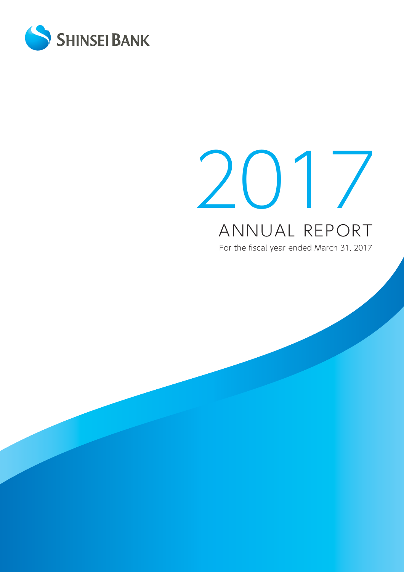

# 2017 ANNUAL REPORT<br>For the fiscal year ended March 31, 2017 ANNUAL REPORT

For the fiscal year ended March 31, 2017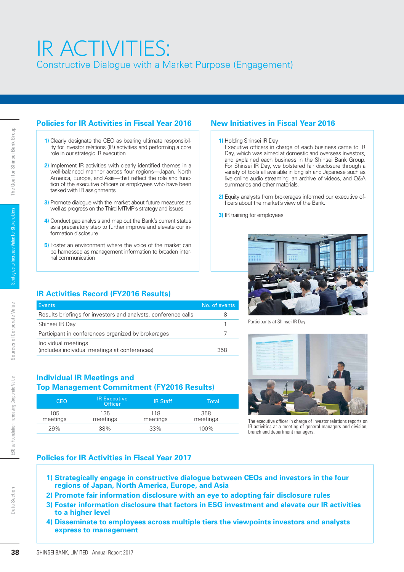# IR ACTIVITIES: Constructive Dialogue with a Market Purpose (Engagement)

### **Policies for IR Activities in Fiscal Year 2016 New Initiatives in Fiscal Year 2016**

- **1)** Clearly designate the CEO as bearing ultimate responsibility for investor relations (IR) activities and performing a core role in our strategic IR execution
- **2)** Implement IR activities with clearly identified themes in a well-balanced manner across four regions—Japan, North America, Europe, and Asia—that reflect the role and function of the executive officers or employees who have been tasked with IR assignments
- **3)** Promote dialogue with the market about future measures as well as progress on the Third MTMP's strategy and issues
- **4)** Conduct gap analysis and map out the Bank's current status as a preparatory step to further improve and elevate our information disclosure
- **5)** Foster an environment where the voice of the market can be harnessed as management information to broaden internal communication

### **1)** Holding Shinsei IR Day Executive officers in charge of each business came to IR

- Day, which was aimed at domestic and overseas investors, and explained each business in the Shinsei Bank Group. For Shinsei IR Day, we bolstered fair disclosure through a variety of tools all available in English and Japanese such as live online audio streaming, an archive of videos, and Q&A summaries and other materials.
- **2)** Equity analysts from brokerages informed our executive officers about the market's view of the Bank.
- **3)** IR training for employees

Participants at Shinsei IR Day



The executive officer in charge of investor relations reports on IR activities at a meeting of general managers and division, branch and department managers.

# **IR Activities Record (FY2016 Results)**

| formation disclosure<br>nal communication | role in our strategic IR execution<br>tasked with IR assignments                                    | 1) Clearly designate the CEO as bearing ultimate responsibil-<br>ity for investor relations (IR) activities and performing a core<br>2) Implement IR activities with clearly identified themes in a<br>well-balanced manner across four regions—Japan, North<br>America, Europe, and Asia—that reflect the role and func-<br>tion of the executive officers or employees who have been<br>3) Promote dialogue with the market about future measures as<br>well as progress on the Third MTMP's strategy and issues<br>4) Conduct gap analysis and map out the Bank's current status<br>as a preparatory step to further improve and elevate our in-<br>5) Foster an environment where the voice of the market can<br>be harnessed as management information to broaden inter- | 1) Holding<br>2) Equity<br>3) IR train |
|-------------------------------------------|-----------------------------------------------------------------------------------------------------|-------------------------------------------------------------------------------------------------------------------------------------------------------------------------------------------------------------------------------------------------------------------------------------------------------------------------------------------------------------------------------------------------------------------------------------------------------------------------------------------------------------------------------------------------------------------------------------------------------------------------------------------------------------------------------------------------------------------------------------------------------------------------------|----------------------------------------|
|                                           |                                                                                                     |                                                                                                                                                                                                                                                                                                                                                                                                                                                                                                                                                                                                                                                                                                                                                                               |                                        |
|                                           | <b>IR Activities Record (FY2016 Results)</b>                                                        |                                                                                                                                                                                                                                                                                                                                                                                                                                                                                                                                                                                                                                                                                                                                                                               |                                        |
| <b>Events</b>                             |                                                                                                     |                                                                                                                                                                                                                                                                                                                                                                                                                                                                                                                                                                                                                                                                                                                                                                               | No. of events                          |
| Shinsei IR Day                            |                                                                                                     | Results briefings for investors and analysts, conference calls                                                                                                                                                                                                                                                                                                                                                                                                                                                                                                                                                                                                                                                                                                                |                                        |
|                                           |                                                                                                     |                                                                                                                                                                                                                                                                                                                                                                                                                                                                                                                                                                                                                                                                                                                                                                               |                                        |
|                                           |                                                                                                     |                                                                                                                                                                                                                                                                                                                                                                                                                                                                                                                                                                                                                                                                                                                                                                               |                                        |
| Individual meetings                       | Participant in conferences organized by brokerages<br>(includes individual meetings at conferences) |                                                                                                                                                                                                                                                                                                                                                                                                                                                                                                                                                                                                                                                                                                                                                                               | 358                                    |
|                                           | <b>Individual IR Meetings and</b>                                                                   | <b>Top Management Commitment (FY2016 Results)</b>                                                                                                                                                                                                                                                                                                                                                                                                                                                                                                                                                                                                                                                                                                                             |                                        |
| <b>CEO</b>                                | <b>IR Executive</b><br><b>Officer</b>                                                               | <b>IR Staff</b>                                                                                                                                                                                                                                                                                                                                                                                                                                                                                                                                                                                                                                                                                                                                                               | <b>Total</b>                           |
| 105                                       | 135                                                                                                 | 118                                                                                                                                                                                                                                                                                                                                                                                                                                                                                                                                                                                                                                                                                                                                                                           | 358                                    |
| meetings<br>29%                           | meetings<br>38%                                                                                     | meetings<br>33%                                                                                                                                                                                                                                                                                                                                                                                                                                                                                                                                                                                                                                                                                                                                                               | 100%                                   |
|                                           | to a higher level                                                                                   | <b>Policies for IR Activities in Fiscal Year 2017</b><br>1) Strategically engage in constructive dialogue between<br>regions of Japan, North America, Europe, and Asia<br>2) Promote fair information disclosure with an eye to add<br>3) Foster information disclosure that factors in ESG invest                                                                                                                                                                                                                                                                                                                                                                                                                                                                            | meetings                               |

### **Individual IR Meetings and Top Management Commitment (FY2016 Results)**

| <b>CEO</b>      | <b>IR Executive</b><br><b>Officer</b> | <b>IR Staff</b> | Total           |
|-----------------|---------------------------------------|-----------------|-----------------|
| 105<br>meetings | 135.<br>meetings                      | 118<br>meetings | 358<br>meetings |
| 29%             | 38%                                   | 33%             | 100%            |

### **Policies for IR Activities in Fiscal Year 2017**

- **1) Strategically engage in constructive dialogue between CEOs and investors in the four regions of Japan, North America, Europe, and Asia**
- **2) Promote fair information disclosure with an eye to adopting fair disclosure rules**
- **3) Foster information disclosure that factors in ESG investment and elevate our IR activities to a higher level**
- **4) Disseminate to employees across multiple tiers the viewpoints investors and analysts express to management**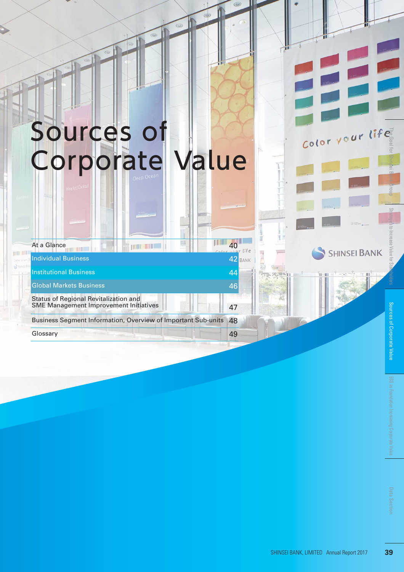# Sources of Corporate Value

### At a Glance 40

**THE THE** 

### Individual Business 42

Institutional Business 44

### Global Markets Business 46

Status of Regional Revitalization and SME Management Improvement Initiatives | **1988** 17

Business Segment Information, Overview of Important Sub-units 48

**BANK** 

Glossary **49**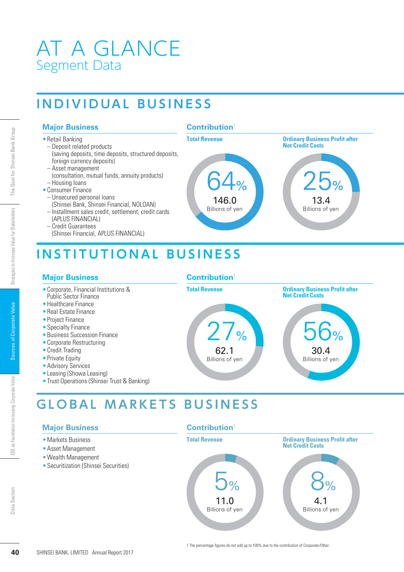# AT A GLANCE Segment Data

# **INDIVIDUAL BUSINESS**

### **Major Business**

- Retail Banking
- Deposit related products (saving deposits, time deposits, structured deposits, foreign currency deposits)
- Asset management
- (consultation, mutual funds, annuity products)
- Housing loans • Consumer Finance
- Unsecured personal loans
- (Shinsei Bank, Shinsei Financial, NOLOAN)
- Installment sales credit, settlement, credit cards
- (APLUS FINANCIAL) – Credit Guarantees
- (Shinsei Financial, APLUS FINANCIAL)





# **INSTITUTIONAL BUSINESS 40** SHINSEI BANK, LIMITED Annual Report 2017<br> **400** SHINSEI BANK, LIMITED Annual Form Section Corporation Increase Value of Constrate Corporation Increase Corporate Financial CRILLIS FINANCIALI<br>
CORPORATION (Shinsei Bank

### **Major Business**

- Corporate, Financial Institutions & Public Sector Finance
- Healthcare Finance
- Real Estate Finance
- Project Finance
- Specialty Finance
- Business Succession Finance
- Corporate Restructuring
- Credit Trading
- Private Equity
- Advisory Services
- Leasing (Showa Leasing)
- Trust Operations (Shinsei Trust & Banking)

# **Contribution**<sup>1</sup>



# **GLOBAL MARKETS BUSINESS**

# **Major Business**

- Markets Business
- Asset Management
- Wealth Management
- Securitization (Shinsei Securities)

### **Contribution**<sup>1</sup>

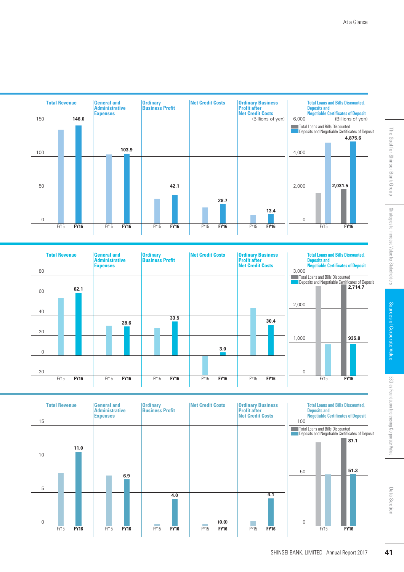

At a Glance



|             | <b>Total Revenue</b> | <b>General and</b><br><b>Administrative</b><br><b>Expenses</b> | <b>Ordinary</b><br><b>Business Profit</b> | <b>Net Credit Costs</b> | <b>Ordinary Business</b><br><b>Profit after</b><br><b>Net Credit Costs</b> |             | <b>Total Loans and Bills Discounted,</b><br><b>Deposits and<br/>Negotiable Certificates of Deposit</b> |
|-------------|----------------------|----------------------------------------------------------------|-------------------------------------------|-------------------------|----------------------------------------------------------------------------|-------------|--------------------------------------------------------------------------------------------------------|
| 80          |                      |                                                                |                                           |                         |                                                                            | 3,000       |                                                                                                        |
|             |                      |                                                                |                                           |                         |                                                                            |             | Total Loans and Bills Discounted<br>Deposits and Negotiable Certificates of Deposit                    |
| 60          | 62.1                 |                                                                |                                           |                         |                                                                            |             | 2,714.7                                                                                                |
|             |                      |                                                                |                                           |                         |                                                                            | 2,000       |                                                                                                        |
| 40          |                      |                                                                |                                           |                         |                                                                            |             |                                                                                                        |
|             |                      | 28.6                                                           | 33.5                                      |                         | 30.4                                                                       |             |                                                                                                        |
| 20          |                      |                                                                |                                           |                         |                                                                            |             |                                                                                                        |
|             |                      |                                                                |                                           |                         |                                                                            | 1,000       | 935.8                                                                                                  |
| $\mathbf 0$ |                      |                                                                |                                           | 3.0                     |                                                                            |             |                                                                                                        |
|             |                      |                                                                |                                           |                         |                                                                            |             |                                                                                                        |
| $-20$       |                      |                                                                |                                           |                         |                                                                            | $\mathbf 0$ |                                                                                                        |
|             | <b>FY16</b><br>FY15  | FY15<br><b>FY16</b>                                            | FY15<br><b>FY16</b>                       | FY15<br><b>FY16</b>     | FY15<br><b>FY16</b>                                                        |             | <b>FY16</b><br><b>FY15</b>                                                                             |

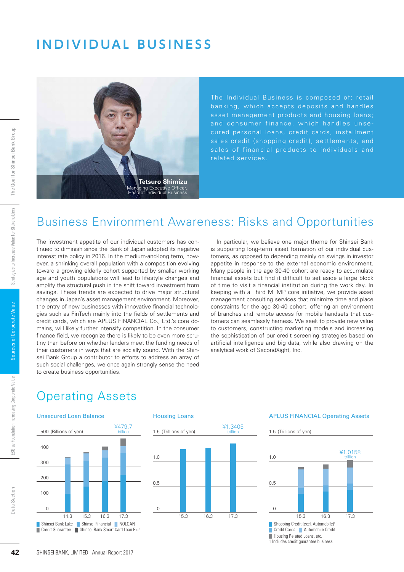# **INDIVIDUAL BUSINESS**



The Individual Business is composed of: retail banking, which accepts deposits and handles asset management products and housing loans; and consumer finance, which handles unsesales credit (shopping credit), settlements, and sales of financial products to individuals and related services.

# Business Environment Awareness: Risks and Opportunities

The investment appetite of our individual customers has continued to diminish since the Bank of Japan adopted its negative interest rate policy in 2016. In the medium-and-long term, however, a shrinking overall population with a composition evolving toward a growing elderly cohort supported by smaller working age and youth populations will lead to lifestyle changes and amplify the structural push in the shift toward investment from savings. These trends are expected to drive major structural changes in Japan's asset management environment. Moreover, the entry of new businesses with innovative financial technologies such as FinTech mainly into the fields of settlements and credit cards, which are APLUS FINANCIAL Co., Ltd.'s core domains, will likely further intensify competition. In the consumer finance field, we recognize there is likely to be even more scrutiny than before on whether lenders meet the funding needs of their customers in ways that are socially sound. With the Shinsei Bank Group a contributor to efforts to address an array of such social challenges, we once again strongly sense the need to create business opportunities. **42** SHINSEI BANK, LIMITED Annual Report 2017 The Goal for Shinsei Bank Group Strategies to Increase Value for Stakeholders Sources of Corporate Value Data Section ESG as Foundation Increasing Corporate Value

In particular, we believe one major theme for Shinsei Bank is supporting long-term asset formation of our individual customers, as opposed to depending mainly on swings in investor appetite in response to the external economic environment. Many people in the age 30-40 cohort are ready to accumulate financial assets but find it difficult to set aside a large block of time to visit a financial institution during the work day. In keeping with a Third MTMP core initiative, we provide asset management consulting services that minimize time and place constraints for the age 30-40 cohort, offering an environment of branches and remote access for mobile handsets that customers can seamlessly harness. We seek to provide new value to customers, constructing marketing models and increasing the sophistication of our credit screening strategies based on artificial intelligence and big data, while also drawing on the analytical work of SecondXight, Inc.

# Operating Assets







### APLUS FINANCIAL Operating Assets

1.5 (Trillions of yen)

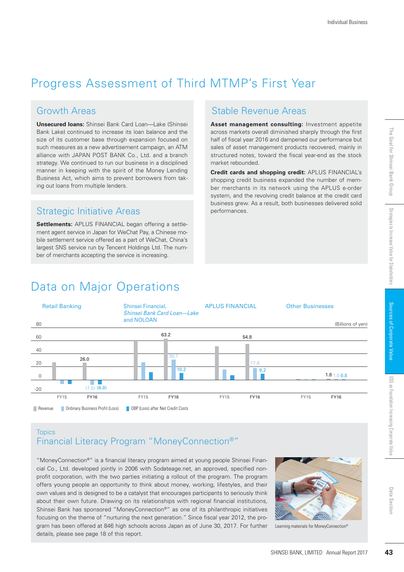# Progress Assessment of Third MTMP's First Year

## Growth Areas

**Unsecured loans:** Shinsei Bank Card Loan—Lake (Shinsei Bank Lake) continued to increase its loan balance and the size of its customer base through expansion focused on such measures as a new advertisement campaign, an ATM alliance with JAPAN POST BANK Co., Ltd. and a branch strategy. We continued to run our business in a disciplined manner in keeping with the spirit of the Money Lending Business Act, which aims to prevent borrowers from taking out loans from multiple lenders.

# Strategic Initiative Areas performances.

**Settlements:** APLUS FINANCIAL began offering a settlement agent service in Japan for WeChat Pay, a Chinese mobile settlement service offered as a part of WeChat, China's largest SNS service run by Tencent Holdings Ltd. The number of merchants accepting the service is increasing.

# Stable Revenue Areas

**Asset management consulting:** Investment appetite across markets overall diminished sharply through the first half of fiscal year 2016 and dampened our performance but sales of asset management products recovered, mainly in structured notes, toward the fiscal year-end as the stock market rebounded.

**Credit cards and shopping credit:** APLUS FINANCIAL's shopping credit business expanded the number of member merchants in its network using the APLUS e-order system, and the revolving credit balance at the credit card business grew. As a result, both businesses delivered solid

# Data on Major Operations



# **Topics** Financial Literacy Program "MoneyConnection®"

"MoneyConnection®" is a financial literacy program aimed at young people Shinsei Financial Co., Ltd. developed jointly in 2006 with Sodateage.net, an approved, specified nonprofit corporation, with the two parties initiating a rollout of the program. The program offers young people an opportunity to think about money, working, lifestyles, and their own values and is designed to be a catalyst that encourages participants to seriously think about their own future. Drawing on its relationships with regional financial institutions, Shinsei Bank has sponsored "MoneyConnection®" as one of its philanthropic initiatives focusing on the theme of "nurturing the next generation." Since fiscal year 2012, the program has been offered at 846 high schools across Japan as of June 30, 2017. For further details, please see page 18 of this report.



Learning materials for MoneyConnection®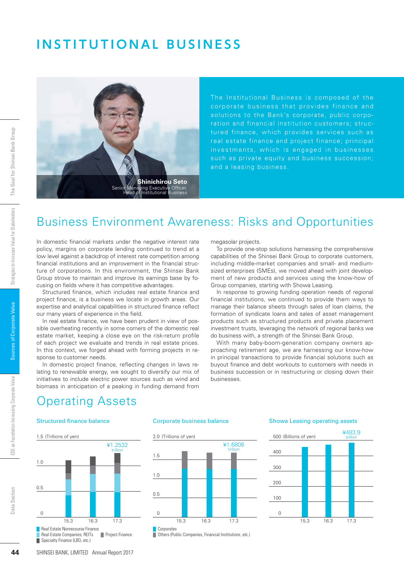# **INSTITUTIONAL BUSINESS**



The Institutional Business is composed of the corporate business that provides finance and solutions to the Bank's corporate, public corporation and financial institution customers; structured finance, which provides services such as real estate finance and project finance; principal investments, which is engaged in businesses such as private equity and business succession; and a leasing business.

# Business Environment Awareness: Risks and Opportunities

In domestic financial markets under the negative interest rate policy, margins on corporate lending continued to trend at a low level against a backdrop of interest rate competition among financial institutions and an improvement in the financial structure of corporations. In this environment, the Shinsei Bank Group strove to maintain and improve its earnings base by focusing on fields where it has competitive advantages.

Structured finance, which includes real estate finance and project finance, is a business we locate in growth areas. Our expertise and analytical capabilities in structured finance reflect our many years of experience in the field.

In real estate finance, we have been prudent in view of possible overheating recently in some corners of the domestic real estate market, keeping a close eye on the risk-return profile of each project we evaluate and trends in real estate prices. In this context, we forged ahead with forming projects in response to customer needs.

In domestic project finance, reflecting changes in laws relating to renewable energy, we sought to diversify our mix of initiatives to include electric power sources such as wind and biomass in anticipation of a peaking in funding demand from

megasolar projects.

To provide one-stop solutions harnessing the comprehensive capabilities of the Shinsei Bank Group to corporate customers, including middle-market companies and small- and mediumsized enterprises (SMEs), we moved ahead with joint development of new products and services using the know-how of Group companies, starting with Showa Leasing.

In response to growing funding operation needs of regional financial institutions, we continued to provide them ways to manage their balance sheets through sales of loan claims, the formation of syndicate loans and sales of asset management products such as structured products and private placement investment trusts, leveraging the network of regional banks we do business with, a strength of the Shinsei Bank Group.

With many baby-boom-generation company owners approaching retirement age, we are harnessing our know-how in principal transactions to provide financial solutions such as buyout finance and debt workouts to customers with needs in business succession or in restructuring or closing down their businesses.

# perating Assets

### Structured finance balance **Corporate business balance**





### Showa Leasing operating assets

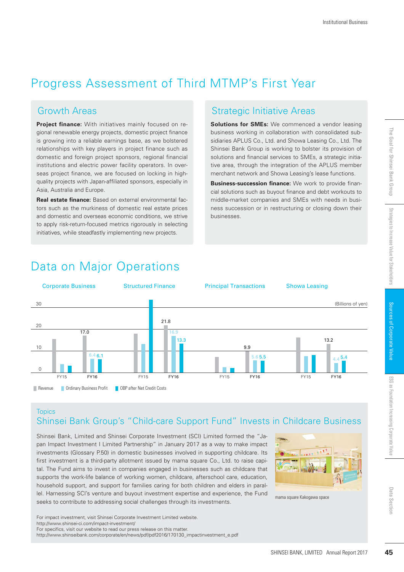# Progress Assessment of Third MTMP's First Year

**Project finance:** With initiatives mainly focused on regional renewable energy projects, domestic project finance is growing into a reliable earnings base, as we bolstered relationships with key players in project finance such as domestic and foreign project sponsors, regional financial institutions and electric power facility operators. In overseas project finance, we are focused on locking in highquality projects with Japan-affiliated sponsors, especially in Asia, Australia and Europe.

**Real estate finance:** Based on external environmental factors such as the murkiness of domestic real estate prices and domestic and overseas economic conditions, we strive to apply risk-return-focused metrics rigorously in selecting initiatives, while steadfastly implementing new projects.

# Growth Areas **Strategic Initiative Areas** Strategic Initiative Areas

**Solutions for SMEs:** We commenced a vendor leasing business working in collaboration with consolidated subsidiaries APLUS Co., Ltd. and Showa Leasing Co., Ltd. The Shinsei Bank Group is working to bolster its provision of solutions and financial services to SMEs, a strategic initiative area, through the integration of the APLUS member merchant network and Showa Leasing's lease functions.

**Business-succession finance:** We work to provide financial solutions such as buyout finance and debt workouts to middle-market companies and SMEs with needs in business succession or in restructuring or closing down their businesses.

# Data on Major Operations



# **Topics**

# Shinsei Bank Group's "Child-care Support Fund" Invests in Childcare Business

Shinsei Bank, Limited and Shinsei Corporate Investment (SCI) Limited formed the "Japan Impact Investment I Limited Partnership" in January 2017 as a way to make impact investments (Glossary P.50) in domestic businesses involved in supporting childcare. Its first investment is a third-party allotment issued by mama square Co., Ltd. to raise capital. The Fund aims to invest in companies engaged in businesses such as childcare that supports the work-life balance of working women, childcare, afterschool care, education, household support, and support for families caring for both children and elders in parallel. Harnessing SCI's venture and buyout investment expertise and experience, the Fund seeks to contribute to addressing social challenges through its investments.



mama square Kakogawa space

For impact investment, visit Shinsei Corporate Investment Limited website.

http://www.shinsei-ci.com/impact-investment/ For specifics, visit our website to read our press release on this matter.

http://www.shinseibank.com/corporate/en/news/pdf/pdf2016/170130\_impactinvestment\_e.pdf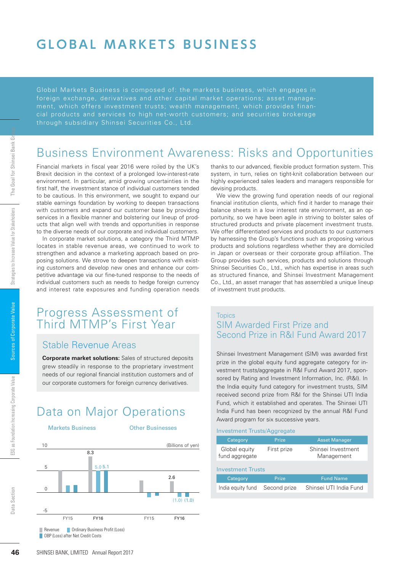# **GLOBAL MARKETS BUSINESS**

Global Markets Business is composed of: the markets business, which engages in ment, which offers investment trusts; wealth management, which provides financial products and services to high net-worth customers; and securities brokerage through subsidiary Shinsei Securities Co., Ltd.

# Business Environment Awareness: Risks and Opportunities

Financial markets in fiscal year 2016 were roiled by the UK's Brexit decision in the context of a prolonged low-interest-rate environment. In particular, amid growing uncertainties in the first half, the investment stance of individual customers tended to be cautious. In this environment, we sought to expand our stable earnings foundation by working to deepen transactions with customers and expand our customer base by providing services in a flexible manner and bolstering our lineup of products that align well with trends and opportunities in response to the diverse needs of our corporate and individual customers.

In corporate market solutions, a category the Third MTMP locates in stable revenue areas, we continued to work to strengthen and advance a marketing approach based on proposing solutions. We strove to deepen transactions with existing customers and develop new ones and enhance our competitive advantage via our fine-tuned response to the needs of individual customers such as needs to hedge foreign currency and interest rate exposures and funding operation needs

# Progress Assessment of Third MTMP's First Year

### Stable Revenue Areas

**Corporate market solutions:** Sales of structured deposits grew steadily in response to the proprietary investment needs of our regional financial institution customers and of our corporate customers for foreign currency derivatives.

# Data on Major Operations

**Markets Business Communist Communist Communist Communist Communist Communist Communist Communist Communist Communist Communist Communist Communist Communist Communist Communist Communist Communist Communist Communist Comm** 



thanks to our advanced, flexible product formation system. This system, in turn, relies on tight-knit collaboration between our highly experienced sales leaders and managers responsible for devising products.

We view the growing fund operation needs of our regional financial institution clients, which find it harder to manage their balance sheets in a low interest rate environment, as an opportunity, so we have been agile in striving to bolster sales of structured products and private placement investment trusts. We offer differentiated services and products to our customers by harnessing the Group's functions such as proposing various products and solutions regardless whether they are domiciled in Japan or overseas or their corporate group affiliation. The Group provides such services, products and solutions through Shinsei Securities Co., Ltd., which has expertise in areas such as structured finance, and Shinsei Investment Management Co., Ltd., an asset manager that has assembled a unique lineup of investment trust products.

### **Topics** SIM Awarded First Prize and Second Prize in R&I Fund Award 2017

Shinsei Investment Management (SIM) was awarded first prize in the global equity fund aggregate category for investment trusts/aggregate in R&I Fund Award 2017, sponsored by Rating and Investment Information, Inc. (R&I). In the India equity fund category for investment trusts, SIM received second prize from R&I for the Shinsei UTI India Fund, which it established and operates. The Shinsei UTI India Fund has been recognized by the annual R&I Fund Award program for six successive years.

Investment Trusts/Aggregate

| Category                        | Prize        | <b>Asset Manager</b>             |
|---------------------------------|--------------|----------------------------------|
| Global equity<br>fund aggregate | First prize  | Shinsei Investment<br>Management |
| <b>Investment Trusts</b>        |              |                                  |
| Category                        | Prize        | <b>Fund Name</b>                 |
| India equity fund               | Second prize | Shinsei UTI India Fund           |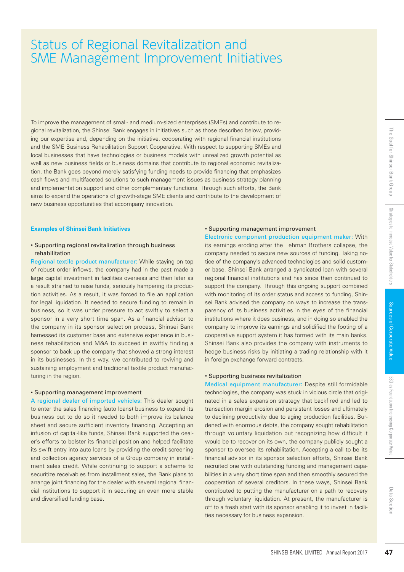# Status of Regional Revitalization and SME Management Improvement Initiatives

To improve the management of small- and medium-sized enterprises (SMEs) and contribute to regional revitalization, the Shinsei Bank engages in initiatives such as those described below, providing our expertise and, depending on the initiative, cooperating with regional financial institutions and the SME Business Rehabilitation Support Cooperative. With respect to supporting SMEs and local businesses that have technologies or business models with unrealized growth potential as well as new business fields or business domains that contribute to regional economic revitalization, the Bank goes beyond merely satisfying funding needs to provide financing that emphasizes cash flows and multifaceted solutions to such management issues as business strategy planning and implementation support and other complementary functions. Through such efforts, the Bank aims to expand the operations of growth-stage SME clients and contribute to the development of new business opportunities that accompany innovation.

### **Examples of Shinsei Bank Initiatives**

### • Supporting regional revitalization through business rehabilitation

Regional textile product manufacturer: While staying on top of robust order inflows, the company had in the past made a large capital investment in facilities overseas and then later as a result strained to raise funds, seriously hampering its production activities. As a result, it was forced to file an application for legal liquidation. It needed to secure funding to remain in business, so it was under pressure to act swiftly to select a sponsor in a very short time span. As a financial advisor to the company in its sponsor selection process, Shinsei Bank harnessed its customer base and extensive experience in business rehabilitation and M&A to succeed in swiftly finding a sponsor to back up the company that showed a strong interest in its businesses. In this way, we contributed to reviving and sustaining employment and traditional textile product manufacturing in the region.

### • Supporting management improvement

A regional dealer of imported vehicles: This dealer sought to enter the sales financing (auto loans) business to expand its business but to do so it needed to both improve its balance sheet and secure sufficient inventory financing. Accepting an infusion of capital-like funds, Shinsei Bank supported the dealer's efforts to bolster its financial position and helped facilitate its swift entry into auto loans by providing the credit screening and collection agency services of a Group company in installment sales credit. While continuing to support a scheme to securitize receivables from installment sales, the Bank plans to arrange joint financing for the dealer with several regional financial institutions to support it in securing an even more stable and diversified funding base.

### • Supporting management improvement

Electronic component production equipment maker: With its earnings eroding after the Lehman Brothers collapse, the company needed to secure new sources of funding. Taking notice of the company's advanced technologies and solid customer base, Shinsei Bank arranged a syndicated loan with several regional financial institutions and has since then continued to support the company. Through this ongoing support combined with monitoring of its order status and access to funding, Shinsei Bank advised the company on ways to increase the transparency of its business activities in the eyes of the financial institutions where it does business, and in doing so enabled the company to improve its earnings and solidified the footing of a cooperative support system it has formed with its main banks. Shinsei Bank also provides the company with instruments to hedge business risks by initiating a trading relationship with it in foreign exchange forward contracts.

### • Supporting business revitalization

Medical equipment manufacturer: Despite still formidable technologies, the company was stuck in vicious circle that originated in a sales expansion strategy that backfired and led to transaction margin erosion and persistent losses and ultimately to declining productivity due to aging production facilities. Burdened with enormous debts, the company sought rehabilitation through voluntary liquidation but recognizing how difficult it would be to recover on its own, the company publicly sought a sponsor to oversee its rehabilitation. Accepting a call to be its financial advisor in its sponsor selection efforts, Shinsei Bank recruited one with outstanding funding and management capabilities in a very short time span and then smoothly secured the cooperation of several creditors. In these ways, Shinsei Bank contributed to putting the manufacturer on a path to recovery through voluntary liquidation. At present, the manufacturer is off to a fresh start with its sponsor enabling it to invest in facilities necessary for business expansion. Strategies to the company of the corporation of the Corporation and a state of the Chemian Brothers collapse, the metallarize-<br>
In the Lehman Brothers collapse, the metallaristic word with several corporation equipment mak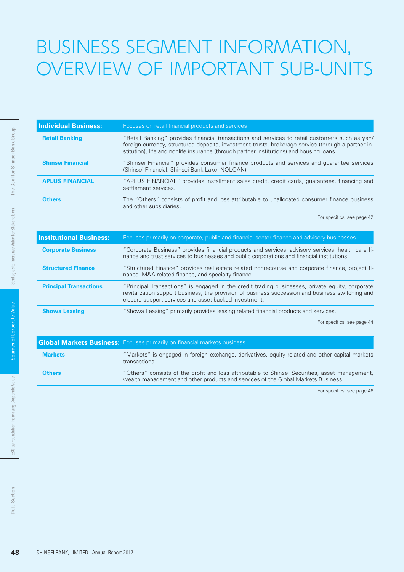# BUSINESS SEGMENT INFORMATION, OVERVIEW OF IMPORTANT SUB-UNITS

| <b>Individual Business:</b> | Focuses on retail financial products and services                                                                                                                                                                                                                                                |
|-----------------------------|--------------------------------------------------------------------------------------------------------------------------------------------------------------------------------------------------------------------------------------------------------------------------------------------------|
| <b>Retail Banking</b>       | "Retail Banking" provides financial transactions and services to retail customers such as yen/<br>foreign currency, structured deposits, investment trusts, brokerage service (through a partner in-<br>stitution), life and nonlife insurance (through partner institutions) and housing loans. |
| <b>Shinsei Financial</b>    | "Shinsei Financial" provides consumer finance products and services and guarantee services<br>(Shinsei Financial, Shinsei Bank Lake, NOLOAN).                                                                                                                                                    |
| <b>APLUS FINANCIAL</b>      | "APLUS FINANCIAL" provides installment sales credit, credit cards, guarantees, financing and<br>settlement services.                                                                                                                                                                             |
| <b>Others</b>               | The "Others" consists of profit and loss attributable to unallocated consumer finance business<br>and other subsidiaries.                                                                                                                                                                        |

| <b>Retail Banking</b>           | "Retail Banking" provides financial transactions and services to retail customers such as yen/<br>foreign currency, structured deposits, investment trusts, brokerage service (through a partner in-<br>stitution), life and nonlife insurance (through partner institutions) and housing loans. |
|---------------------------------|--------------------------------------------------------------------------------------------------------------------------------------------------------------------------------------------------------------------------------------------------------------------------------------------------|
| <b>Shinsei Financial</b>        | "Shinsei Financial" provides consumer finance products and services and guarantee services<br>(Shinsei Financial, Shinsei Bank Lake, NOLOAN).                                                                                                                                                    |
| <b>APLUS FINANCIAL</b>          | "APLUS FINANCIAL" provides installment sales credit, credit cards, guarantees, financing and<br>settlement services.                                                                                                                                                                             |
| <b>Others</b>                   | The "Others" consists of profit and loss attributable to unallocated consumer finance business<br>and other subsidiaries.                                                                                                                                                                        |
|                                 | For specifics, see page 42                                                                                                                                                                                                                                                                       |
| <b>Institutional Business:</b>  | Focuses primarily on corporate, public and financial sector finance and advisory businesses                                                                                                                                                                                                      |
| <b>Corporate Business</b>       | "Corporate Business" provides financial products and services, advisory services, health care fi-<br>nance and trust services to businesses and public corporations and financial institutions.                                                                                                  |
| <b>Structured Finance</b>       | "Structured Finance" provides real estate related nonrecourse and corporate finance, project fi-<br>nance, M&A related finance, and specialty finance.                                                                                                                                           |
| <b>Principal Transactions</b>   | "Principal Transactions" is engaged in the credit trading businesses, private equity, corporate<br>revitalization support business, the provision of business succession and business switching and<br>closure support services and asset-backed investment.                                     |
| <b>Showa Leasing</b>            | "Showa Leasing" primarily provides leasing related financial products and services.                                                                                                                                                                                                              |
|                                 | <b>Global Markets Business:</b> Focuses primarily on financial markets business                                                                                                                                                                                                                  |
|                                 | For specifics, see page 44<br>transactions.                                                                                                                                                                                                                                                      |
| <b>Markets</b><br><b>Others</b> | "Markets" is engaged in foreign exchange, derivatives, equity related and other capital markets<br>"Others" consists of the profit and loss attributable to Shinsei Securities, asset management,<br>wealth management and other products and services of the Global Markets Business.           |
|                                 | For specifics, see page 46                                                                                                                                                                                                                                                                       |
|                                 |                                                                                                                                                                                                                                                                                                  |
|                                 |                                                                                                                                                                                                                                                                                                  |
|                                 |                                                                                                                                                                                                                                                                                                  |
|                                 |                                                                                                                                                                                                                                                                                                  |

|                | <b>Global Markets Business:</b> Focuses primarily on financial markets business                                                                                                     |
|----------------|-------------------------------------------------------------------------------------------------------------------------------------------------------------------------------------|
| <b>Markets</b> | "Markets" is engaged in foreign exchange, derivatives, equity related and other capital markets<br>transactions.                                                                    |
| <b>Others</b>  | "Others" consists of the profit and loss attributable to Shinsei Securities, asset management,<br>wealth management and other products and services of the Global Markets Business. |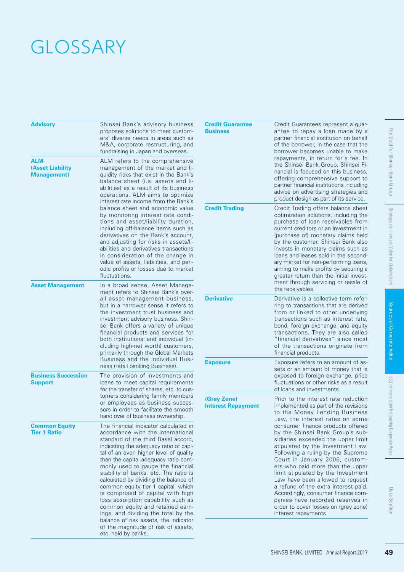# **GLOSSARY**

| Advisory                                             | Shinsei Bank's advisory business<br>proposes solutions to meet custom-<br>ers' diverse needs in areas such as<br>M&A, corporate restructuring, and<br>fundraising in Japan and overseas.                                                                                                                                                                                                                                                                                                                                                                                                                                                                                                            |
|------------------------------------------------------|-----------------------------------------------------------------------------------------------------------------------------------------------------------------------------------------------------------------------------------------------------------------------------------------------------------------------------------------------------------------------------------------------------------------------------------------------------------------------------------------------------------------------------------------------------------------------------------------------------------------------------------------------------------------------------------------------------|
| ALM<br><b>(Asset Liability</b><br><b>Management)</b> | ALM refers to the comprehensive<br>management of the market and li-<br>quidity risks that exist in the Bank's<br>balance sheet (i.e. assets and li-<br>abilities) as a result of its business<br>operations. ALM aims to optimize<br>interest rate income from the Bank's<br>balance sheet and economic value<br>by monitoring interest rate condi-<br>tions and asset/liability duration,<br>including off-balance items such as<br>derivatives on the Bank's account,<br>and adjusting for risks in assets/li-<br>abilities and derivatives transactions<br>in consideration of the change in<br>value of assets, liabilities, and peri-<br>odic profits or losses due to market<br>fluctuations. |
| <b>Asset Management</b>                              | In a broad sense, Asset Manage-<br>ment refers to Shinsei Bank's over-<br>all asset management business.<br>but in a narrower sense it refers to<br>the investment trust business and<br>investment advisory business. Shin-<br>sei Bank offers a variety of unique<br>financial products and services for<br>both institutional and individual (in-<br>cluding high-net worth) customers,<br>primarily through the Global Markets<br>Business and the Individual Busi-<br>ness (retail banking Business).                                                                                                                                                                                          |
| <b>Business Succession</b><br>Support                | The provision of investments and<br>loans to meet capital requirements<br>for the transfer of shares, etc. to cus-<br>tomers considering family members<br>or employees as business succes-<br>sors in order to facilitate the smooth<br>hand over of business ownership.                                                                                                                                                                                                                                                                                                                                                                                                                           |
| <b>Common Equity</b><br><b>Tier 1 Ratio</b>          | The financial indicator calculated in<br>accordance with the international<br>standard of the third Basel accord,<br>indicating the adequacy ratio of capi-<br>tal of an even higher level of quality<br>than the capital adequacy ratio com-<br>monly used to gauge the financial<br>stability of banks, etc. The ratio is<br>calculated by dividing the balance of<br>common equity tier 1 capital, which<br>is comprised of capital with high<br>loss absorption capability such as<br>common equity and retained earn-<br>ings, and dividing the total by the<br>balance of risk assets, the indicator<br>of the magnitude of risk of assets,<br>etc. held by banks.                            |

| Credit Guarantees represent a guar-<br>antee to repay a loan made by a<br>partner financial institution on behalf<br>of the borrower, in the case that the<br>borrower becomes unable to make<br>repayments, in return for a fee. In<br>the Shinsei Bank Group, Shinsei Fi-<br>nancial is focused on this business,<br>offering comprehensive support to<br>partner financial institutions including<br>advice on advertising strategies and<br>product design as part of its service.                     | he<br>B<br>Goal for Shinsei Bank Group        |
|------------------------------------------------------------------------------------------------------------------------------------------------------------------------------------------------------------------------------------------------------------------------------------------------------------------------------------------------------------------------------------------------------------------------------------------------------------------------------------------------------------|-----------------------------------------------|
| Credit Trading offers balance sheet<br>optimization solutions, including the<br>purchase of loan receivables from<br>current creditors or an investment in<br>(purchase of) monetary claims held<br>by the customer. Shinsei Bank also<br>invests in monetary claims such as<br>loans and leases sold in the second-<br>ary market for non-performing loans,<br>aiming to make profits by securing a<br>greater return than the initial invest-<br>ment through servicing or resale of<br>the receivables. | Strategies to Increase Value for Stakeholders |
| Derivative is a collective term refer-<br>ring to transactions that are derived<br>from or linked to other underlying<br>transactions such as interest rate,<br>bond, foreign exchange, and equity<br>transactions. They are also called<br>"financial derivatives" since most<br>of the transactions originate from<br>financial products.                                                                                                                                                                | Sources of Corporate Value                    |
| Exposure refers to an amount of as-<br>sets or an amount of money that is<br>exposed to foreign exchange, price<br>fluctuations or other risks as a result<br>of loans and investments.                                                                                                                                                                                                                                                                                                                    |                                               |
| Prior to the interest rate reduction<br>implemented as part of the revisions<br>to the Money Lending Business<br>Law, the interest rates on some<br>consumer finance products offered<br>by the Shinsei Bank Group's sub-<br>sidiaries exceeded the upper limit<br>stipulated by the Investment Law.<br>Following a ruling by the Supreme<br>Court in January 2006, custom-                                                                                                                                | ESG as Foundation Increasing Corporate Value  |
| limit stipulated by the Investment<br>Law have been allowed to request<br>a refund of the extra interest paid.<br>Accordingly, consumer finance com-<br>panies have recorded reserves in<br>order to cover losses on (grey zone)                                                                                                                                                                                                                                                                           | Data Section                                  |
|                                                                                                                                                                                                                                                                                                                                                                                                                                                                                                            | ers who paid more than the upper              |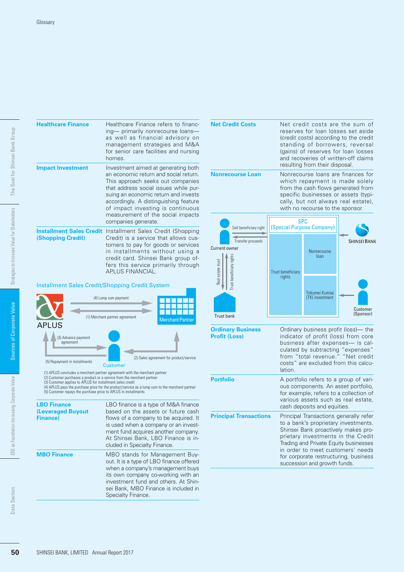| <b>Healthcare Finance</b>                                                                                                                                                                                | Healthcare Finance refers to financ-<br>ing— primarily nonrecourse loans—<br>as well as financial advisory on<br>management strategies and M&A<br>for senior care facilities and nursing<br>homes.                                                                                                                                           |
|----------------------------------------------------------------------------------------------------------------------------------------------------------------------------------------------------------|----------------------------------------------------------------------------------------------------------------------------------------------------------------------------------------------------------------------------------------------------------------------------------------------------------------------------------------------|
| <b>Impact Investment</b>                                                                                                                                                                                 | Investment aimed at generating both<br>an economic return and social return.<br>This approach seeks out companies<br>that address social issues while pur-<br>suing an economic return and invests<br>accordingly. A distinguishing feature<br>of impact investing is continuous<br>measurement of the social impacts<br>companies generate. |
| <b>(Shopping Credit)</b>                                                                                                                                                                                 | <b>Installment Sales Credit</b> Installment Sales Credit (Shopping<br>Credit) is a service that allows cus-<br>tomers to pay for goods or services<br>in installments without using a<br>credit card. Shinsei Bank group of-<br>fers this service primarily through<br><b>APLUS FINANCIAL.</b>                                               |
| <b>Installment Sales Credit/Shopping Credit System</b>                                                                                                                                                   |                                                                                                                                                                                                                                                                                                                                              |
| <b>APLUS</b>                                                                                                                                                                                             | (4) Lump sum payment<br>(1) Merchant partner agreement<br><b>Merchant Partner</b>                                                                                                                                                                                                                                                            |
| (3) Advance payment<br>agreement<br>(5) Repayment in installments                                                                                                                                        | (2) Sales agreement for product/service                                                                                                                                                                                                                                                                                                      |
| (2) Customer purchases a product or a service from the merchant partner<br>(3) Customer applies to APLUS for installment sales credit<br>(5) Customer repays the purchase price to APLUS in installments | <b>Customer</b><br>(1) APLUS concludes a merchant partner agreement with the merchant partner<br>(4) APLUS pays the purchase price for the product/service as a lump sum to the merchant partner                                                                                                                                             |
| <b>LBO Finance</b><br><b>(Leveraged Buyout</b><br><b>Finance)</b>                                                                                                                                        | LBO finance is a type of M&A finance<br>based on the assets or future cash<br>flows of a company to be acquired. It<br>is used when a company or an invest-<br>ment fund acquires another company.<br>At Shinsei Bank, LBO Finance is in-<br>cluded in Specialty Finance.                                                                    |
| <b>MBO Finance</b>                                                                                                                                                                                       | MBO stands for Management Buy-<br>out. It is a type of LBO finance offered<br>when a company's management buys<br>its own company co-working with an<br>investment fund and others. At Shin-<br>sei Bank, MBO Finance is included in<br>Specialty Finance.                                                                                   |

### Installment Sales Credit/Shopping Credit System



| cluded in Specialty Finance.                                                                                                                                                                                                                                                     | ment fund acquires another company.<br>At Shinsei Bank, LBO Finance is in- |
|----------------------------------------------------------------------------------------------------------------------------------------------------------------------------------------------------------------------------------------------------------------------------------|----------------------------------------------------------------------------|
| <b>MBO Finance</b><br>MBO stands for Management Buy-<br>out. It is a type of LBO finance offered<br>when a company's management buys<br>its own company co-working with an<br>investment fund and others. At Shin-<br>sei Bank, MBO Finance is included in<br>Specialty Finance. |                                                                            |

| <b>Net Credit Costs</b>                                                                 | Net credit costs are the sum of<br>reserves for loan losses set aside<br>(credit costs) according to the credit<br>standing of borrowers, reversal<br>(gains) of reserves for loan losses<br>and recoveries of written-off claims<br>resulting from their disposal. |                                                                                                                                                                                               |                                                                                                                                                                                                                                                                                    |  |
|-----------------------------------------------------------------------------------------|---------------------------------------------------------------------------------------------------------------------------------------------------------------------------------------------------------------------------------------------------------------------|-----------------------------------------------------------------------------------------------------------------------------------------------------------------------------------------------|------------------------------------------------------------------------------------------------------------------------------------------------------------------------------------------------------------------------------------------------------------------------------------|--|
| <b>Nonrecourse Loan</b>                                                                 | Nonrecourse loans are finances for<br>which repayment is made solely<br>from the cash flows generated from<br>specific businesses or assets (typi-<br>cally, but not always real estate),<br>with no recourse to the sponsor.                                       |                                                                                                                                                                                               |                                                                                                                                                                                                                                                                                    |  |
| Sell beneficiary right                                                                  | (Special Purpose Company)                                                                                                                                                                                                                                           | SPC                                                                                                                                                                                           |                                                                                                                                                                                                                                                                                    |  |
| Transfer proceeds<br><b>Current owner</b><br>ust beneficiary right<br>Real estate trust | <b>Trust beneficiary</b>                                                                                                                                                                                                                                            | Nonrecourse<br>loan                                                                                                                                                                           | <b>SHINSEI BANK</b>                                                                                                                                                                                                                                                                |  |
| <b>Trust bank</b>                                                                       | rights                                                                                                                                                                                                                                                              | Tokumei Kumiai<br>(TK) investment                                                                                                                                                             | Customer<br>(Sponsor)                                                                                                                                                                                                                                                              |  |
| <b>Ordinary Business</b><br><b>Profit (Loss)</b>                                        | lation.                                                                                                                                                                                                                                                             |                                                                                                                                                                                               | Ordinary business profit (loss)— the<br>indicator of profit (loss) from core<br>business after expenses- is cal-<br>culated by subtracting "expenses"<br>from "total revenue." "Net credit<br>costs" are excluded from this calcu-                                                 |  |
| <b>Portfolio</b>                                                                        |                                                                                                                                                                                                                                                                     | A portfolio refers to a group of vari-<br>ous components. An asset portfolio,<br>for example, refers to a collection of<br>various assets such as real estate,<br>cash deposits and equities. |                                                                                                                                                                                                                                                                                    |  |
| <b>Principal Transactions</b>                                                           |                                                                                                                                                                                                                                                                     | succession and growth funds.                                                                                                                                                                  | Principal Transactions generally refer<br>to a bank's proprietary investments.<br>Shinsei Bank proactively makes pro-<br>prietary investments in the Credit<br>Trading and Private Equity businesses<br>in order to meet customers' needs<br>for corporate restructuring, business |  |